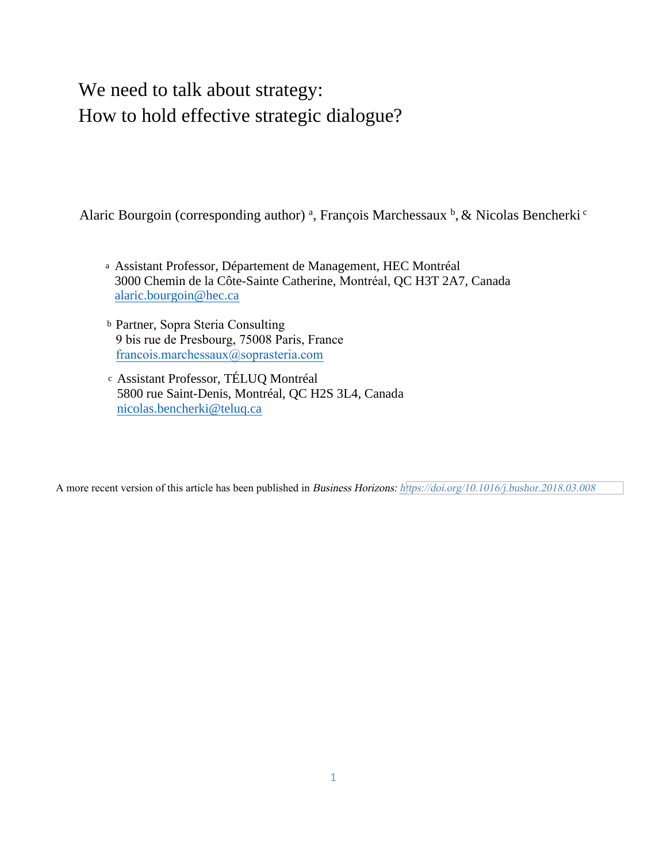# We need to talk about strategy: How to hold effective strategic dialogue?

Alaric Bourgoin (corresponding author)<sup>a</sup>, François Marchessaux<sup>b</sup>, & Nicolas Bencherki<sup>c</sup>

- <sup>a</sup> Assistant Professor, Département de Management, HEC Montréal 3000 Chemin de la Côte-Sainte Catherine, Montréal, QC H3T 2A7, Canada alaric.bourgoin@h[ec.ca](mailto:alaric.bourgoin@hec.ca)
- <sup>b</sup> Partner, Sopra Steria Consulting 9 bis rue de [Presbourg,](mailto:marchessaux@colombus-consulting.com) 75008 Paris, France francois.marchessaux@soprasteria.com
- <sup>c</sup> Assistant Professor, TÉLUQ Montréal 5800 rue Saint-Denis, [Montréal,](mailto:nicolas.bencherki@teluq.ca) QC H2S 3L4, Canada nicolas.bencherki@teluq.ca

A more recent version of this article has been published in Business Horizons: <https://doi.org/10.1016/j.bushor.2018.03.008>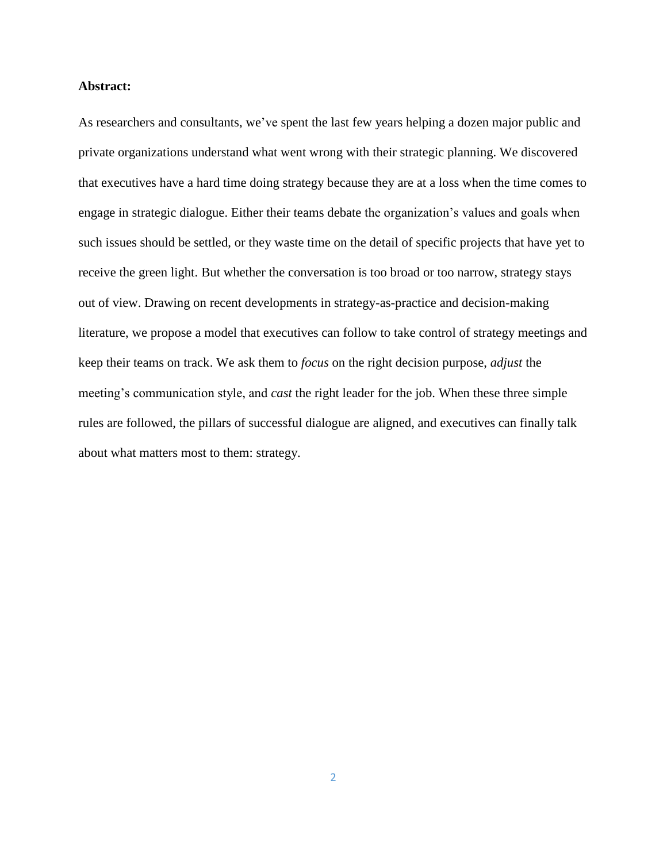### **Abstract:**

As researchers and consultants, we've spent the last few years helping a dozen major public and private organizations understand what went wrong with their strategic planning. We discovered that executives have a hard time doing strategy because they are at a loss when the time comes to engage in strategic dialogue. Either their teams debate the organization's values and goals when such issues should be settled, or they waste time on the detail of specific projects that have yet to receive the green light. But whether the conversation is too broad or too narrow, strategy stays out of view. Drawing on recent developments in strategy-as-practice and decision-making literature, we propose a model that executives can follow to take control of strategy meetings and keep their teams on track. We ask them to *focus* on the right decision purpose, *adjust* the meeting's communication style, and *cast* the right leader for the job. When these three simple rules are followed, the pillars of successful dialogue are aligned, and executives can finally talk about what matters most to them: strategy.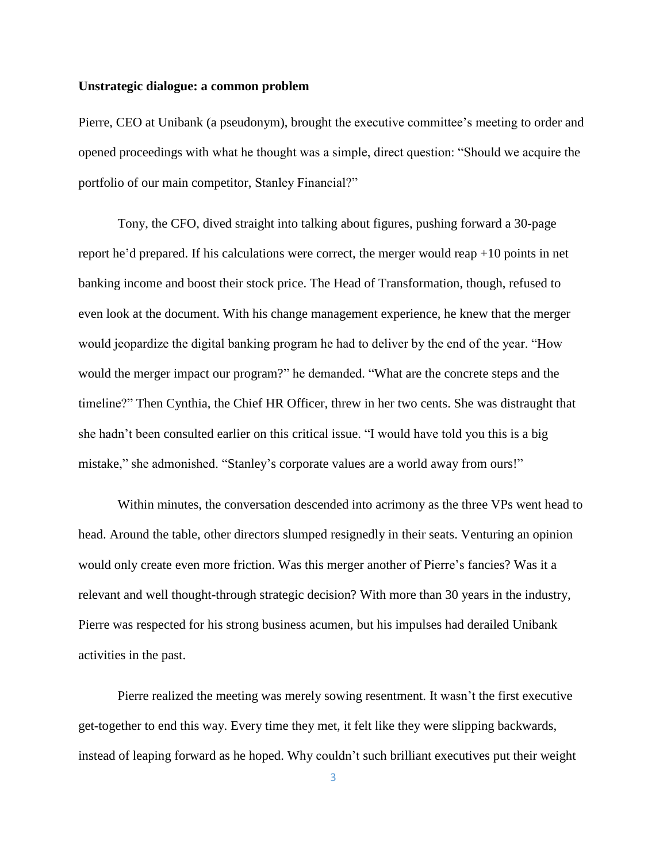#### **Unstrategic dialogue: a common problem**

Pierre, CEO at Unibank (a pseudonym), brought the executive committee's meeting to order and opened proceedings with what he thought was a simple, direct question: "Should we acquire the portfolio of our main competitor, Stanley Financial?"

Tony, the CFO, dived straight into talking about figures, pushing forward a 30-page report he'd prepared. If his calculations were correct, the merger would reap +10 points in net banking income and boost their stock price. The Head of Transformation, though, refused to even look at the document. With his change management experience, he knew that the merger would jeopardize the digital banking program he had to deliver by the end of the year. "How would the merger impact our program?" he demanded. "What are the concrete steps and the timeline?" Then Cynthia, the Chief HR Officer, threw in her two cents. She was distraught that she hadn't been consulted earlier on this critical issue. "I would have told you this is a big mistake," she admonished. "Stanley's corporate values are a world away from ours!"

Within minutes, the conversation descended into acrimony as the three VPs went head to head. Around the table, other directors slumped resignedly in their seats. Venturing an opinion would only create even more friction. Was this merger another of Pierre's fancies? Was it a relevant and well thought-through strategic decision? With more than 30 years in the industry, Pierre was respected for his strong business acumen, but his impulses had derailed Unibank activities in the past.

Pierre realized the meeting was merely sowing resentment. It wasn't the first executive get-together to end this way. Every time they met, it felt like they were slipping backwards, instead of leaping forward as he hoped. Why couldn't such brilliant executives put their weight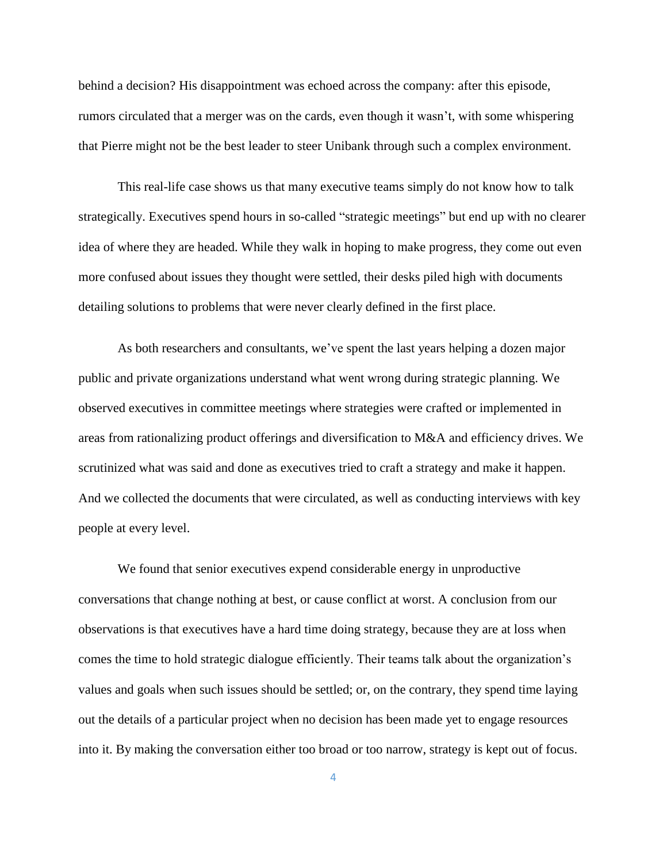behind a decision? His disappointment was echoed across the company: after this episode, rumors circulated that a merger was on the cards, even though it wasn't, with some whispering that Pierre might not be the best leader to steer Unibank through such a complex environment.

This real-life case shows us that many executive teams simply do not know how to talk strategically. Executives spend hours in so-called "strategic meetings" but end up with no clearer idea of where they are headed. While they walk in hoping to make progress, they come out even more confused about issues they thought were settled, their desks piled high with documents detailing solutions to problems that were never clearly defined in the first place.

As both researchers and consultants, we've spent the last years helping a dozen major public and private organizations understand what went wrong during strategic planning. We observed executives in committee meetings where strategies were crafted or implemented in areas from rationalizing product offerings and diversification to M&A and efficiency drives. We scrutinized what was said and done as executives tried to craft a strategy and make it happen. And we collected the documents that were circulated, as well as conducting interviews with key people at every level.

We found that senior executives expend considerable energy in unproductive conversations that change nothing at best, or cause conflict at worst. A conclusion from our observations is that executives have a hard time doing strategy, because they are at loss when comes the time to hold strategic dialogue efficiently. Their teams talk about the organization's values and goals when such issues should be settled; or, on the contrary, they spend time laying out the details of a particular project when no decision has been made yet to engage resources into it. By making the conversation either too broad or too narrow, strategy is kept out of focus.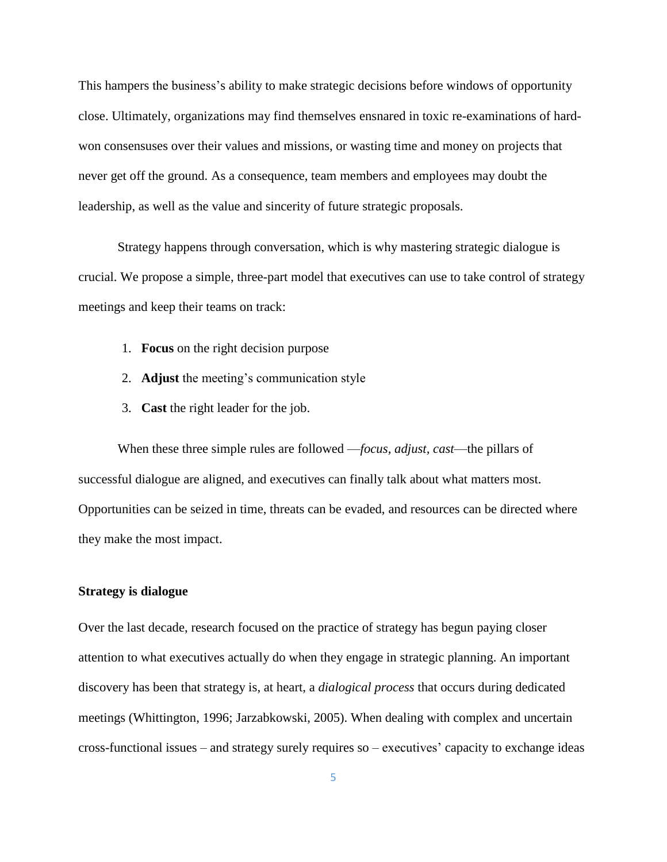This hampers the business's ability to make strategic decisions before windows of opportunity close. Ultimately, organizations may find themselves ensnared in toxic re-examinations of hardwon consensuses over their values and missions, or wasting time and money on projects that never get off the ground. As a consequence, team members and employees may doubt the leadership, as well as the value and sincerity of future strategic proposals.

Strategy happens through conversation, which is why mastering strategic dialogue is crucial. We propose a simple, three-part model that executives can use to take control of strategy meetings and keep their teams on track:

- 1. **Focus** on the right decision purpose
- 2. **Adjust** the meeting's communication style
- 3. **Cast** the right leader for the job.

When these three simple rules are followed —*focus, adjust, cast*—the pillars of successful dialogue are aligned, and executives can finally talk about what matters most. Opportunities can be seized in time, threats can be evaded, and resources can be directed where they make the most impact.

#### **Strategy is dialogue**

Over the last decade, research focused on the practice of strategy has begun paying closer attention to what executives actually do when they engage in strategic planning. An important discovery has been that strategy is, at heart, a *dialogical process* that occurs during dedicated meetings (Whittington, 1996; Jarzabkowski, 2005). When dealing with complex and uncertain cross-functional issues – and strategy surely requires so – executives' capacity to exchange ideas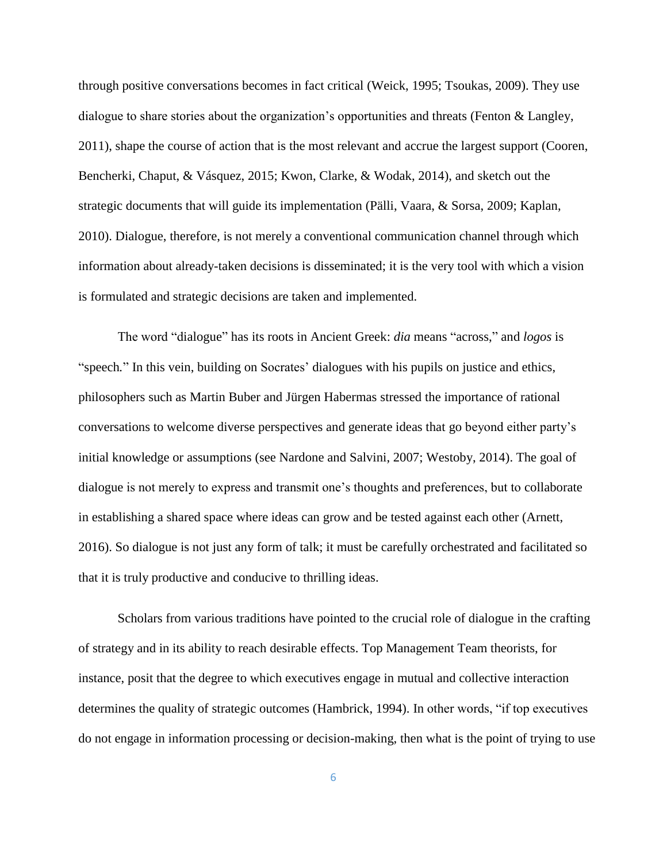through positive conversations becomes in fact critical (Weick, 1995; Tsoukas, 2009). They use dialogue to share stories about the organization's opportunities and threats (Fenton & Langley, 2011), shape the course of action that is the most relevant and accrue the largest support (Cooren, Bencherki, Chaput, & Vásquez, 2015; Kwon, Clarke, & Wodak, 2014), and sketch out the strategic documents that will guide its implementation (Pälli, Vaara, & Sorsa, 2009; Kaplan, 2010). Dialogue, therefore, is not merely a conventional communication channel through which information about already-taken decisions is disseminated; it is the very tool with which a vision is formulated and strategic decisions are taken and implemented.

The word "dialogue" has its roots in Ancient Greek: *dia* means "across," and *logos* is "speech*.*" In this vein, building on Socrates' dialogues with his pupils on justice and ethics, philosophers such as Martin Buber and Jürgen Habermas stressed the importance of rational conversations to welcome diverse perspectives and generate ideas that go beyond either party's initial knowledge or assumptions (see Nardone and Salvini, 2007; Westoby, 2014). The goal of dialogue is not merely to express and transmit one's thoughts and preferences, but to collaborate in establishing a shared space where ideas can grow and be tested against each other (Arnett, 2016). So dialogue is not just any form of talk; it must be carefully orchestrated and facilitated so that it is truly productive and conducive to thrilling ideas.

Scholars from various traditions have pointed to the crucial role of dialogue in the crafting of strategy and in its ability to reach desirable effects. Top Management Team theorists, for instance, posit that the degree to which executives engage in mutual and collective interaction determines the quality of strategic outcomes (Hambrick, 1994). In other words, "if top executives do not engage in information processing or decision-making, then what is the point of trying to use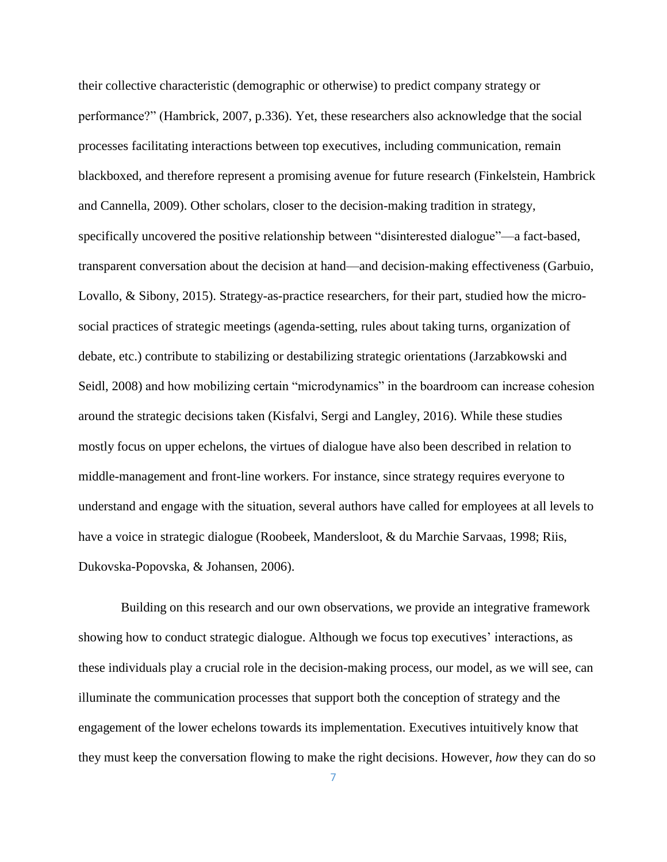their collective characteristic (demographic or otherwise) to predict company strategy or performance?" (Hambrick, 2007, p.336). Yet, these researchers also acknowledge that the social processes facilitating interactions between top executives, including communication, remain blackboxed, and therefore represent a promising avenue for future research (Finkelstein, Hambrick and Cannella, 2009). Other scholars, closer to the decision-making tradition in strategy, specifically uncovered the positive relationship between "disinterested dialogue"—a fact-based, transparent conversation about the decision at hand—and decision-making effectiveness (Garbuio, Lovallo, & Sibony, 2015). Strategy-as-practice researchers, for their part, studied how the microsocial practices of strategic meetings (agenda-setting, rules about taking turns, organization of debate, etc.) contribute to stabilizing or destabilizing strategic orientations (Jarzabkowski and Seidl, 2008) and how mobilizing certain "microdynamics" in the boardroom can increase cohesion around the strategic decisions taken (Kisfalvi, Sergi and Langley, 2016). While these studies mostly focus on upper echelons, the virtues of dialogue have also been described in relation to middle-management and front-line workers. For instance, since strategy requires everyone to understand and engage with the situation, several authors have called for employees at all levels to have a voice in strategic dialogue (Roobeek, Mandersloot, & du Marchie Sarvaas, 1998; Riis, Dukovska-Popovska, & Johansen, 2006).

Building on this research and our own observations, we provide an integrative framework showing how to conduct strategic dialogue. Although we focus top executives' interactions, as these individuals play a crucial role in the decision-making process, our model, as we will see, can illuminate the communication processes that support both the conception of strategy and the engagement of the lower echelons towards its implementation. Executives intuitively know that they must keep the conversation flowing to make the right decisions. However, *how* they can do so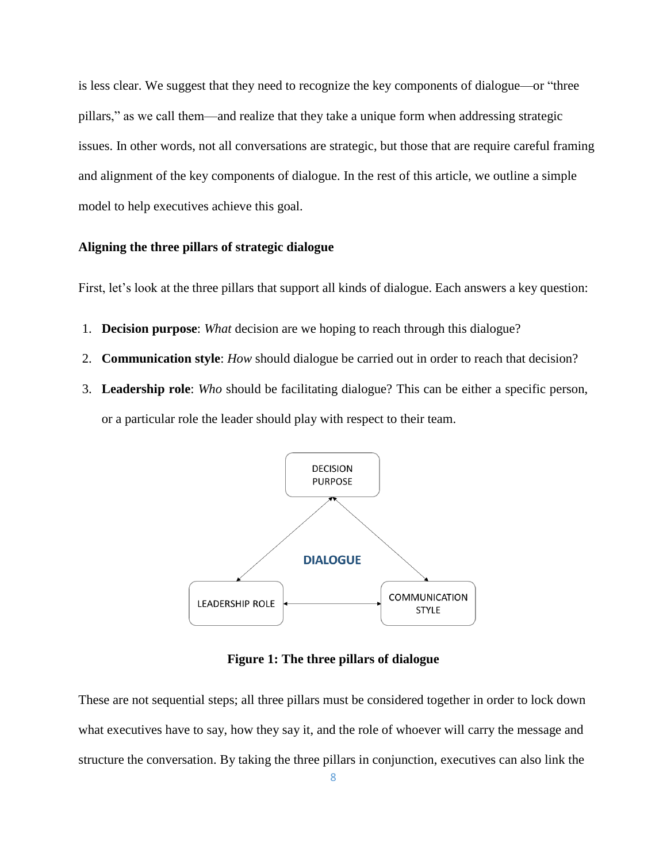is less clear. We suggest that they need to recognize the key components of dialogue—or "three pillars," as we call them—and realize that they take a unique form when addressing strategic issues. In other words, not all conversations are strategic, but those that are require careful framing and alignment of the key components of dialogue. In the rest of this article, we outline a simple model to help executives achieve this goal.

#### **Aligning the three pillars of strategic dialogue**

First, let's look at the three pillars that support all kinds of dialogue. Each answers a key question:

- 1. **Decision purpose**: *What* decision are we hoping to reach through this dialogue?
- 2. **Communication style**: *How* should dialogue be carried out in order to reach that decision?
- 3. **Leadership role**: *Who* should be facilitating dialogue? This can be either a specific person, or a particular role the leader should play with respect to their team.



**Figure 1: The three pillars of dialogue**

These are not sequential steps; all three pillars must be considered together in order to lock down what executives have to say, how they say it, and the role of whoever will carry the message and structure the conversation. By taking the three pillars in conjunction, executives can also link the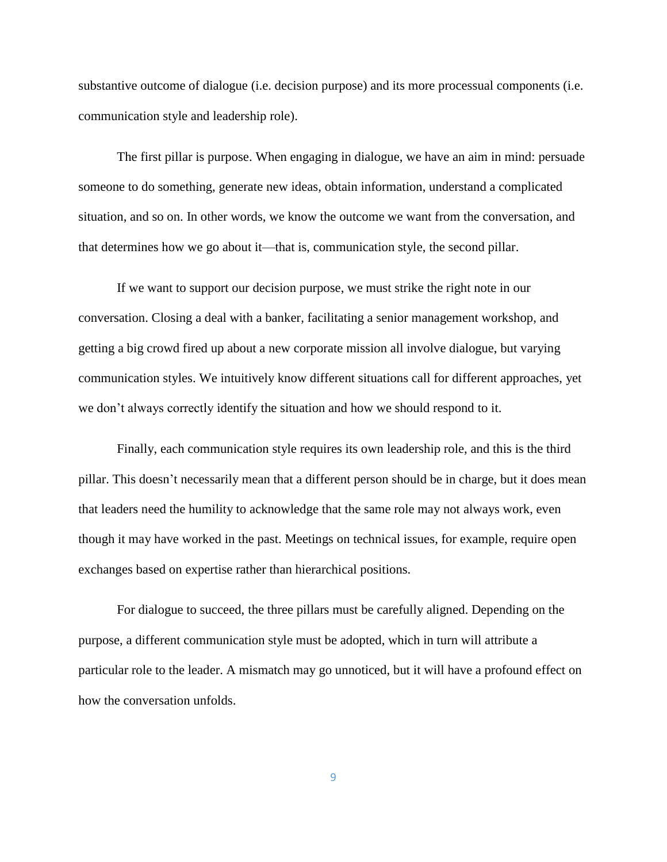substantive outcome of dialogue (i.e. decision purpose) and its more processual components (i.e. communication style and leadership role).

The first pillar is purpose. When engaging in dialogue, we have an aim in mind: persuade someone to do something, generate new ideas, obtain information, understand a complicated situation, and so on. In other words, we know the outcome we want from the conversation, and that determines how we go about it—that is, communication style, the second pillar.

If we want to support our decision purpose, we must strike the right note in our conversation. Closing a deal with a banker, facilitating a senior management workshop, and getting a big crowd fired up about a new corporate mission all involve dialogue, but varying communication styles. We intuitively know different situations call for different approaches, yet we don't always correctly identify the situation and how we should respond to it.

Finally, each communication style requires its own leadership role, and this is the third pillar. This doesn't necessarily mean that a different person should be in charge, but it does mean that leaders need the humility to acknowledge that the same role may not always work, even though it may have worked in the past. Meetings on technical issues, for example, require open exchanges based on expertise rather than hierarchical positions.

For dialogue to succeed, the three pillars must be carefully aligned. Depending on the purpose, a different communication style must be adopted, which in turn will attribute a particular role to the leader. A mismatch may go unnoticed, but it will have a profound effect on how the conversation unfolds.

9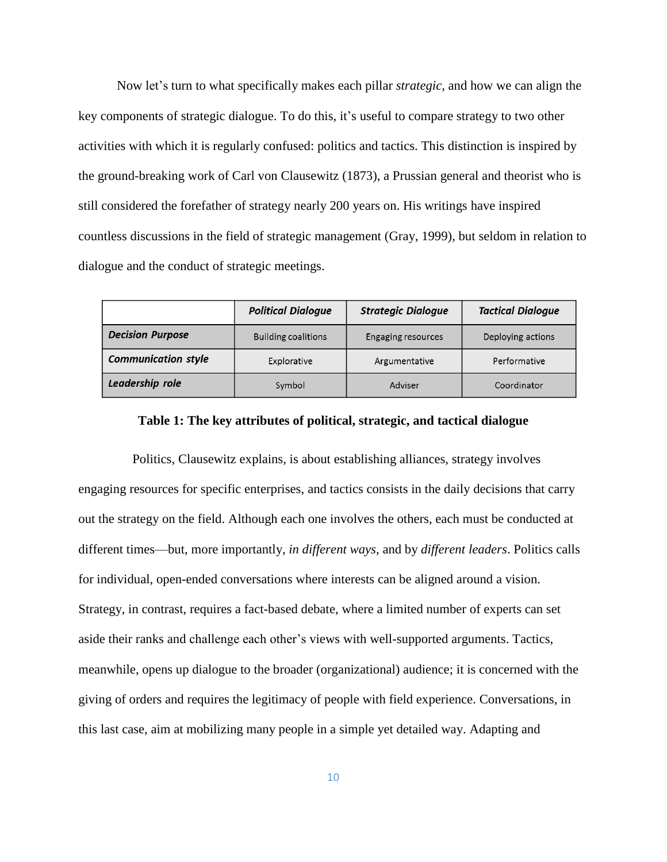Now let's turn to what specifically makes each pillar *strategic,* and how we can align the key components of strategic dialogue. To do this, it's useful to compare strategy to two other activities with which it is regularly confused: politics and tactics. This distinction is inspired by the ground-breaking work of Carl von Clausewitz (1873), a Prussian general and theorist who is still considered the forefather of strategy nearly 200 years on. His writings have inspired countless discussions in the field of strategic management (Gray, 1999), but seldom in relation to dialogue and the conduct of strategic meetings.

|                            | <b>Political Dialogue</b>  | <b>Strategic Dialogue</b> | <b>Tactical Dialogue</b> |
|----------------------------|----------------------------|---------------------------|--------------------------|
| <b>Decision Purpose</b>    | <b>Building coalitions</b> | <b>Engaging resources</b> | Deploying actions        |
| <b>Communication style</b> | Explorative                | Argumentative             | Performative             |
| Leadership role            | Symbol                     | Adviser                   | Coordinator              |

# **Table 1: The key attributes of political, strategic, and tactical dialogue**

Politics, Clausewitz explains, is about establishing alliances, strategy involves engaging resources for specific enterprises, and tactics consists in the daily decisions that carry out the strategy on the field. Although each one involves the others, each must be conducted at different times—but, more importantly, *in different ways*, and by *different leaders*. Politics calls for individual, open-ended conversations where interests can be aligned around a vision. Strategy, in contrast, requires a fact-based debate, where a limited number of experts can set aside their ranks and challenge each other's views with well-supported arguments. Tactics, meanwhile, opens up dialogue to the broader (organizational) audience; it is concerned with the giving of orders and requires the legitimacy of people with field experience. Conversations, in this last case, aim at mobilizing many people in a simple yet detailed way. Adapting and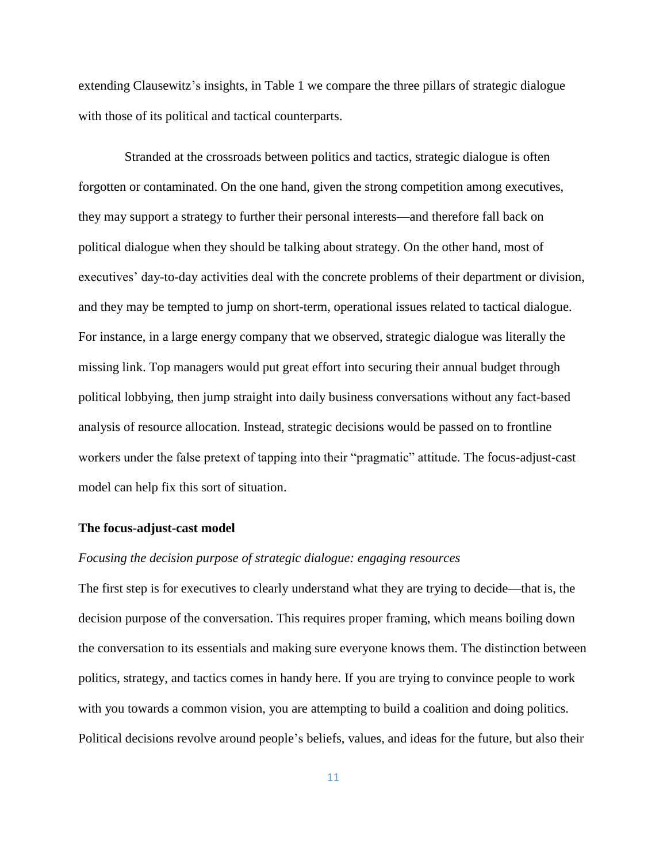extending Clausewitz's insights, in Table 1 we compare the three pillars of strategic dialogue with those of its political and tactical counterparts.

Stranded at the crossroads between politics and tactics, strategic dialogue is often forgotten or contaminated. On the one hand, given the strong competition among executives, they may support a strategy to further their personal interests—and therefore fall back on political dialogue when they should be talking about strategy. On the other hand, most of executives' day-to-day activities deal with the concrete problems of their department or division, and they may be tempted to jump on short-term, operational issues related to tactical dialogue. For instance, in a large energy company that we observed, strategic dialogue was literally the missing link. Top managers would put great effort into securing their annual budget through political lobbying, then jump straight into daily business conversations without any fact-based analysis of resource allocation. Instead, strategic decisions would be passed on to frontline workers under the false pretext of tapping into their "pragmatic" attitude. The focus-adjust-cast model can help fix this sort of situation.

#### **The focus-adjust-cast model**

#### *Focusing the decision purpose of strategic dialogue: engaging resources*

The first step is for executives to clearly understand what they are trying to decide—that is, the decision purpose of the conversation. This requires proper framing, which means boiling down the conversation to its essentials and making sure everyone knows them. The distinction between politics, strategy, and tactics comes in handy here. If you are trying to convince people to work with you towards a common vision, you are attempting to build a coalition and doing politics. Political decisions revolve around people's beliefs, values, and ideas for the future, but also their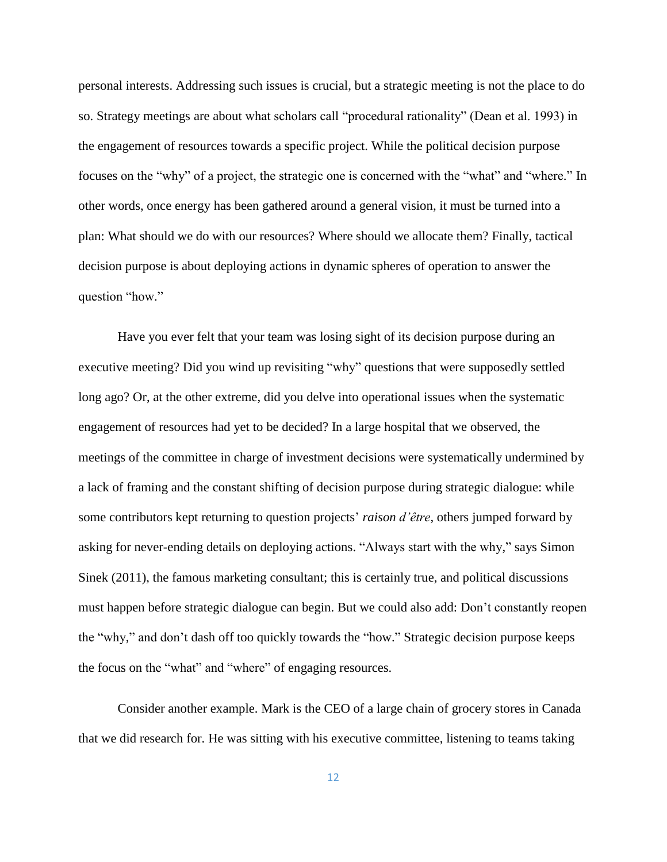personal interests. Addressing such issues is crucial, but a strategic meeting is not the place to do so. Strategy meetings are about what scholars call "procedural rationality" (Dean et al. 1993) in the engagement of resources towards a specific project. While the political decision purpose focuses on the "why" of a project, the strategic one is concerned with the "what" and "where." In other words, once energy has been gathered around a general vision, it must be turned into a plan: What should we do with our resources? Where should we allocate them? Finally, tactical decision purpose is about deploying actions in dynamic spheres of operation to answer the question "how."

Have you ever felt that your team was losing sight of its decision purpose during an executive meeting? Did you wind up revisiting "why" questions that were supposedly settled long ago? Or, at the other extreme, did you delve into operational issues when the systematic engagement of resources had yet to be decided? In a large hospital that we observed, the meetings of the committee in charge of investment decisions were systematically undermined by a lack of framing and the constant shifting of decision purpose during strategic dialogue: while some contributors kept returning to question projects' *raison d'être*, others jumped forward by asking for never-ending details on deploying actions. "Always start with the why," says Simon Sinek (2011), the famous marketing consultant; this is certainly true, and political discussions must happen before strategic dialogue can begin. But we could also add: Don't constantly reopen the "why," and don't dash off too quickly towards the "how." Strategic decision purpose keeps the focus on the "what" and "where" of engaging resources.

Consider another example. Mark is the CEO of a large chain of grocery stores in Canada that we did research for. He was sitting with his executive committee, listening to teams taking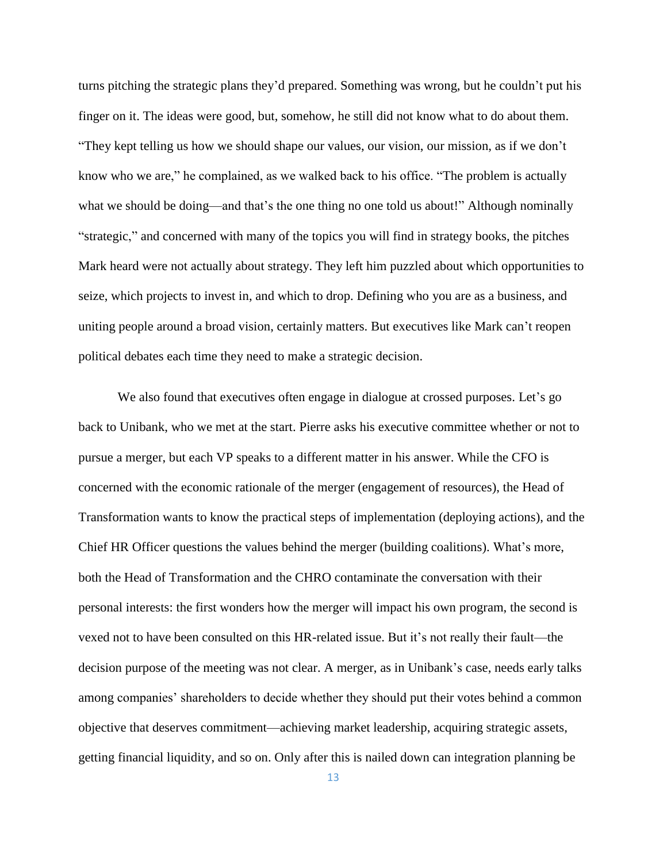turns pitching the strategic plans they'd prepared. Something was wrong, but he couldn't put his finger on it. The ideas were good, but, somehow, he still did not know what to do about them. "They kept telling us how we should shape our values, our vision, our mission, as if we don't know who we are," he complained, as we walked back to his office. "The problem is actually what we should be doing—and that's the one thing no one told us about!" Although nominally "strategic," and concerned with many of the topics you will find in strategy books, the pitches Mark heard were not actually about strategy. They left him puzzled about which opportunities to seize, which projects to invest in, and which to drop. Defining who you are as a business, and uniting people around a broad vision, certainly matters. But executives like Mark can't reopen political debates each time they need to make a strategic decision.

We also found that executives often engage in dialogue at crossed purposes. Let's go back to Unibank, who we met at the start. Pierre asks his executive committee whether or not to pursue a merger, but each VP speaks to a different matter in his answer. While the CFO is concerned with the economic rationale of the merger (engagement of resources), the Head of Transformation wants to know the practical steps of implementation (deploying actions), and the Chief HR Officer questions the values behind the merger (building coalitions). What's more, both the Head of Transformation and the CHRO contaminate the conversation with their personal interests: the first wonders how the merger will impact his own program, the second is vexed not to have been consulted on this HR-related issue. But it's not really their fault—the decision purpose of the meeting was not clear. A merger, as in Unibank's case, needs early talks among companies' shareholders to decide whether they should put their votes behind a common objective that deserves commitment—achieving market leadership, acquiring strategic assets, getting financial liquidity, and so on. Only after this is nailed down can integration planning be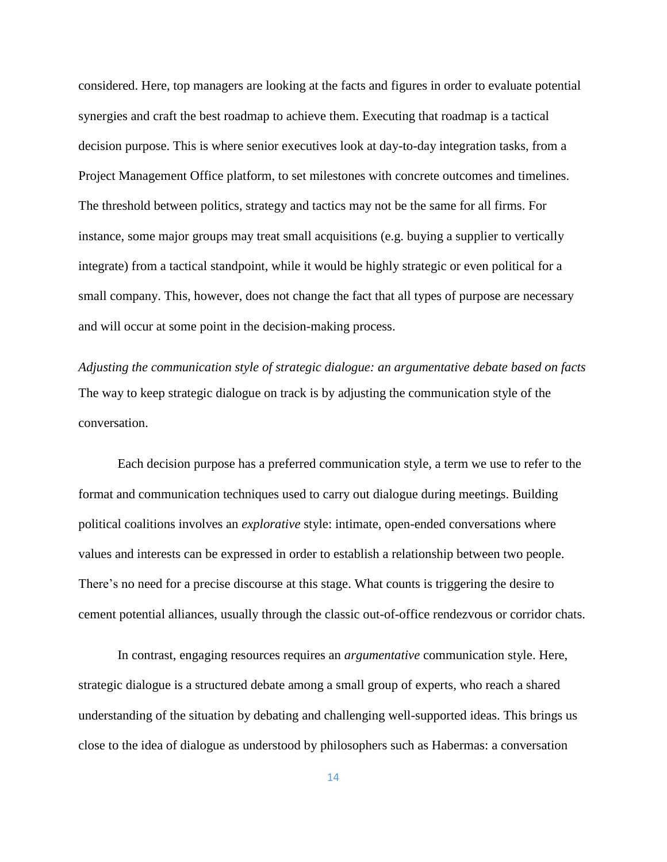considered. Here, top managers are looking at the facts and figures in order to evaluate potential synergies and craft the best roadmap to achieve them. Executing that roadmap is a tactical decision purpose. This is where senior executives look at day-to-day integration tasks, from a Project Management Office platform, to set milestones with concrete outcomes and timelines. The threshold between politics, strategy and tactics may not be the same for all firms. For instance, some major groups may treat small acquisitions (e.g. buying a supplier to vertically integrate) from a tactical standpoint, while it would be highly strategic or even political for a small company. This, however, does not change the fact that all types of purpose are necessary and will occur at some point in the decision-making process.

*Adjusting the communication style of strategic dialogue: an argumentative debate based on facts* The way to keep strategic dialogue on track is by adjusting the communication style of the conversation.

Each decision purpose has a preferred communication style, a term we use to refer to the format and communication techniques used to carry out dialogue during meetings. Building political coalitions involves an *explorative* style: intimate, open-ended conversations where values and interests can be expressed in order to establish a relationship between two people. There's no need for a precise discourse at this stage. What counts is triggering the desire to cement potential alliances, usually through the classic out-of-office rendezvous or corridor chats.

In contrast, engaging resources requires an *argumentative* communication style. Here, strategic dialogue is a structured debate among a small group of experts, who reach a shared understanding of the situation by debating and challenging well-supported ideas. This brings us close to the idea of dialogue as understood by philosophers such as Habermas: a conversation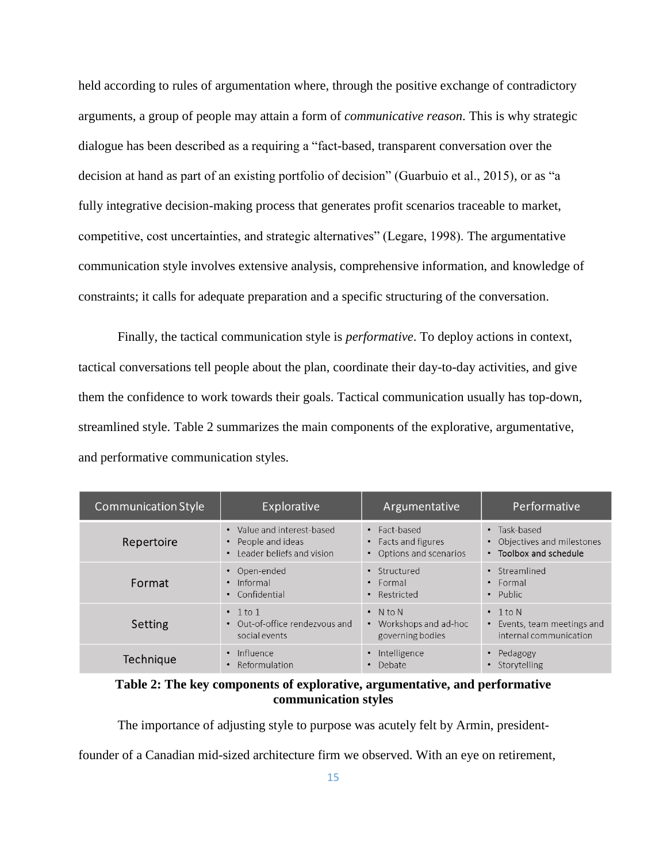held according to rules of argumentation where, through the positive exchange of contradictory arguments, a group of people may attain a form of *communicative reason*. This is why strategic dialogue has been described as a requiring a "fact-based, transparent conversation over the decision at hand as part of an existing portfolio of decision" (Guarbuio et al., 2015), or as "a fully integrative decision-making process that generates profit scenarios traceable to market, competitive, cost uncertainties, and strategic alternatives" (Legare, 1998). The argumentative communication style involves extensive analysis, comprehensive information, and knowledge of constraints; it calls for adequate preparation and a specific structuring of the conversation.

Finally, the tactical communication style is *performative*. To deploy actions in context, tactical conversations tell people about the plan, coordinate their day-to-day activities, and give them the confidence to work towards their goals. Tactical communication usually has top-down, streamlined style. Table 2 summarizes the main components of the explorative, argumentative, and performative communication styles.

| <b>Communication Style</b> | Explorative                                                       | Argumentative                                                             | Performative                                                          |
|----------------------------|-------------------------------------------------------------------|---------------------------------------------------------------------------|-----------------------------------------------------------------------|
| Repertoire                 | • Value and interest-based                                        | • Fact-based                                                              | • Task-based                                                          |
|                            | People and ideas                                                  | • Facts and figures                                                       | Objectives and milestones                                             |
|                            | Leader beliefs and vision                                         | Options and scenarios                                                     | • Toolbox and schedule                                                |
| Format                     | • Open-ended                                                      | • Structured                                                              | • Streamlined                                                         |
|                            | $\cdot$ Informal                                                  | $\cdot$ Formal                                                            | $\cdot$ Formal                                                        |
|                            | • Confidential                                                    | Restricted                                                                | • Public                                                              |
| Setting                    | $\cdot$ 1 to 1<br>• Out-of-office rendezyous and<br>social events | $\bullet$ N to N<br>Workshops and ad-hoc<br>$\bullet$<br>governing bodies | $\cdot$ 1 to N<br>Events, team meetings and<br>internal communication |
| Technique                  | Influence                                                         | Intelligence                                                              | Pedagogy                                                              |
|                            | Reformulation                                                     | Debate                                                                    | Storytelling                                                          |

## **Table 2: The key components of explorative, argumentative, and performative communication styles**

The importance of adjusting style to purpose was acutely felt by Armin, president-

founder of a Canadian mid-sized architecture firm we observed. With an eye on retirement,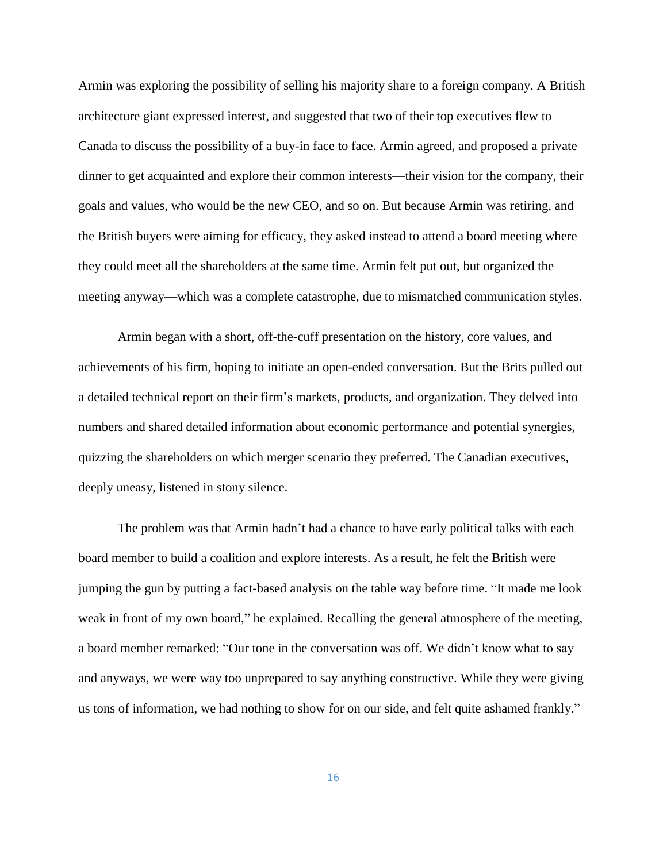Armin was exploring the possibility of selling his majority share to a foreign company. A British architecture giant expressed interest, and suggested that two of their top executives flew to Canada to discuss the possibility of a buy-in face to face. Armin agreed, and proposed a private dinner to get acquainted and explore their common interests—their vision for the company, their goals and values, who would be the new CEO, and so on. But because Armin was retiring, and the British buyers were aiming for efficacy, they asked instead to attend a board meeting where they could meet all the shareholders at the same time. Armin felt put out, but organized the meeting anyway—which was a complete catastrophe, due to mismatched communication styles.

Armin began with a short, off-the-cuff presentation on the history, core values, and achievements of his firm, hoping to initiate an open-ended conversation. But the Brits pulled out a detailed technical report on their firm's markets, products, and organization. They delved into numbers and shared detailed information about economic performance and potential synergies, quizzing the shareholders on which merger scenario they preferred. The Canadian executives, deeply uneasy, listened in stony silence.

The problem was that Armin hadn't had a chance to have early political talks with each board member to build a coalition and explore interests. As a result, he felt the British were jumping the gun by putting a fact-based analysis on the table way before time. "It made me look weak in front of my own board," he explained. Recalling the general atmosphere of the meeting, a board member remarked: "Our tone in the conversation was off. We didn't know what to say and anyways, we were way too unprepared to say anything constructive. While they were giving us tons of information, we had nothing to show for on our side, and felt quite ashamed frankly."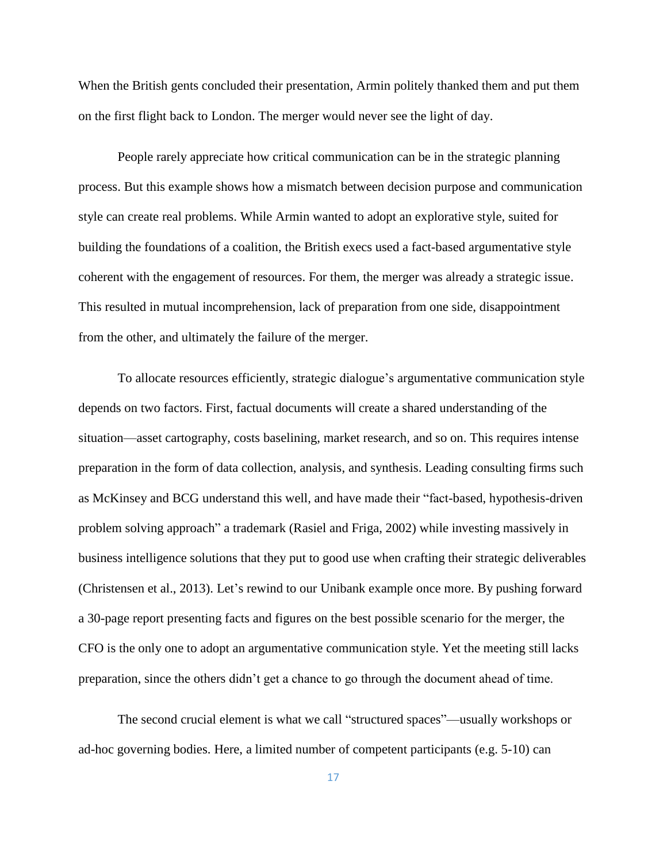When the British gents concluded their presentation, Armin politely thanked them and put them on the first flight back to London. The merger would never see the light of day.

People rarely appreciate how critical communication can be in the strategic planning process. But this example shows how a mismatch between decision purpose and communication style can create real problems. While Armin wanted to adopt an explorative style, suited for building the foundations of a coalition, the British execs used a fact-based argumentative style coherent with the engagement of resources. For them, the merger was already a strategic issue. This resulted in mutual incomprehension, lack of preparation from one side, disappointment from the other, and ultimately the failure of the merger.

To allocate resources efficiently, strategic dialogue's argumentative communication style depends on two factors. First, factual documents will create a shared understanding of the situation—asset cartography, costs baselining, market research, and so on. This requires intense preparation in the form of data collection, analysis, and synthesis. Leading consulting firms such as McKinsey and BCG understand this well, and have made their "fact-based, hypothesis-driven problem solving approach" a trademark (Rasiel and Friga, 2002) while investing massively in business intelligence solutions that they put to good use when crafting their strategic deliverables (Christensen et al., 2013). Let's rewind to our Unibank example once more. By pushing forward a 30-page report presenting facts and figures on the best possible scenario for the merger, the CFO is the only one to adopt an argumentative communication style. Yet the meeting still lacks preparation, since the others didn't get a chance to go through the document ahead of time.

The second crucial element is what we call "structured spaces"—usually workshops or ad-hoc governing bodies. Here, a limited number of competent participants (e.g. 5-10) can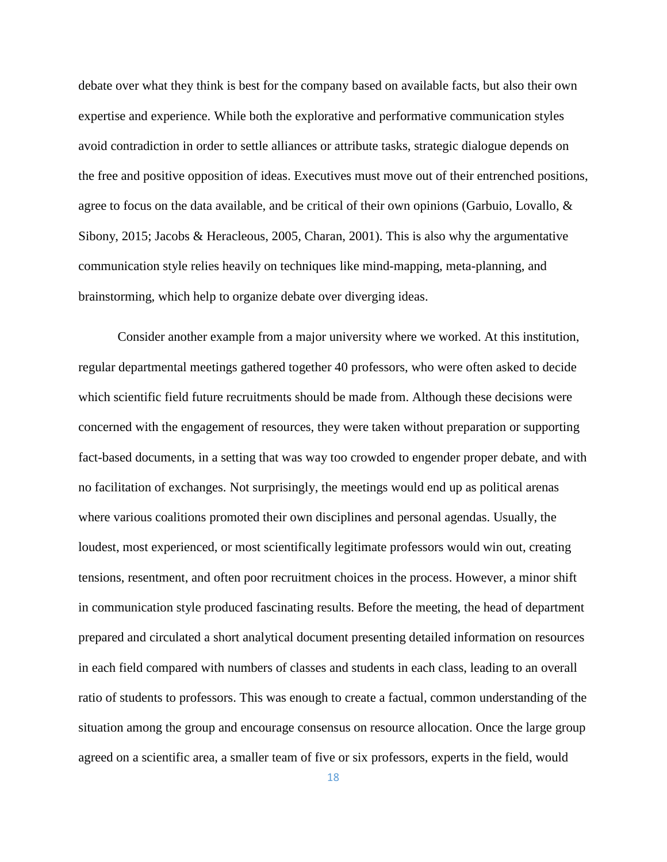debate over what they think is best for the company based on available facts, but also their own expertise and experience. While both the explorative and performative communication styles avoid contradiction in order to settle alliances or attribute tasks, strategic dialogue depends on the free and positive opposition of ideas. Executives must move out of their entrenched positions, agree to focus on the data available, and be critical of their own opinions (Garbuio, Lovallo,  $\&$ Sibony, 2015; Jacobs & Heracleous, 2005, Charan, 2001). This is also why the argumentative communication style relies heavily on techniques like mind-mapping, meta-planning, and brainstorming, which help to organize debate over diverging ideas.

Consider another example from a major university where we worked. At this institution, regular departmental meetings gathered together 40 professors, who were often asked to decide which scientific field future recruitments should be made from. Although these decisions were concerned with the engagement of resources, they were taken without preparation or supporting fact-based documents, in a setting that was way too crowded to engender proper debate, and with no facilitation of exchanges. Not surprisingly, the meetings would end up as political arenas where various coalitions promoted their own disciplines and personal agendas. Usually, the loudest, most experienced, or most scientifically legitimate professors would win out, creating tensions, resentment, and often poor recruitment choices in the process. However, a minor shift in communication style produced fascinating results. Before the meeting, the head of department prepared and circulated a short analytical document presenting detailed information on resources in each field compared with numbers of classes and students in each class, leading to an overall ratio of students to professors. This was enough to create a factual, common understanding of the situation among the group and encourage consensus on resource allocation. Once the large group agreed on a scientific area, a smaller team of five or six professors, experts in the field, would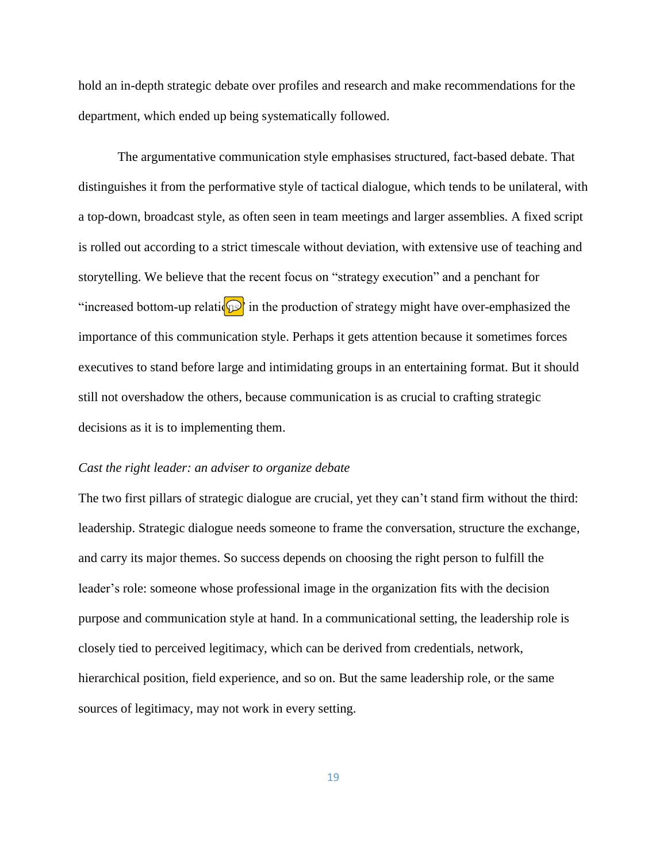hold an in-depth strategic debate over profiles and research and make recommendations for the department, which ended up being systematically followed.

The argumentative communication style emphasises structured, fact-based debate. That distinguishes it from the performative style of tactical dialogue, which tends to be unilateral, with a top-down, broadcast style, as often seen in team meetings and larger assemblies. A fixed script is rolled out according to a strict timescale without deviation, with extensive use of teaching and storytelling. We believe that the recent focus on "strategy execution" and a penchant for "increased bottom-up relations" in the production of strategy might have over-emphasized the importance of this communication style. Perhaps it gets attention because it sometimes forces executives to stand before large and intimidating groups in an entertaining format. But it should still not overshadow the others, because communication is as crucial to crafting strategic decisions as it is to implementing them.

#### *Cast the right leader: an adviser to organize debate*

The two first pillars of strategic dialogue are crucial, yet they can't stand firm without the third: leadership. Strategic dialogue needs someone to frame the conversation, structure the exchange, and carry its major themes. So success depends on choosing the right person to fulfill the leader's role: someone whose professional image in the organization fits with the decision purpose and communication style at hand. In a communicational setting, the leadership role is closely tied to perceived legitimacy, which can be derived from credentials, network, hierarchical position, field experience, and so on. But the same leadership role, or the same sources of legitimacy, may not work in every setting.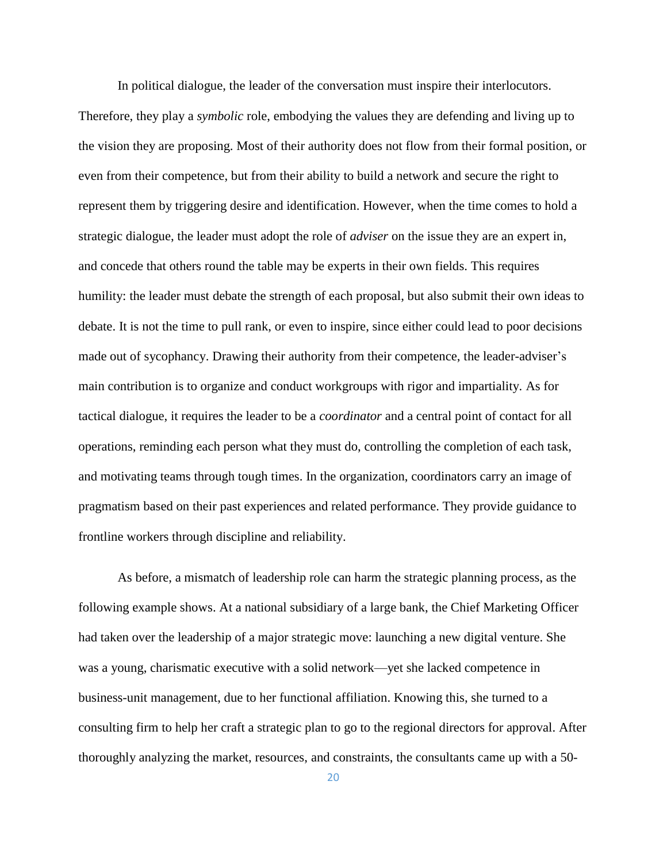In political dialogue, the leader of the conversation must inspire their interlocutors.

Therefore, they play a *symbolic* role, embodying the values they are defending and living up to the vision they are proposing. Most of their authority does not flow from their formal position, or even from their competence, but from their ability to build a network and secure the right to represent them by triggering desire and identification. However, when the time comes to hold a strategic dialogue, the leader must adopt the role of *adviser* on the issue they are an expert in, and concede that others round the table may be experts in their own fields. This requires humility: the leader must debate the strength of each proposal, but also submit their own ideas to debate. It is not the time to pull rank, or even to inspire, since either could lead to poor decisions made out of sycophancy. Drawing their authority from their competence, the leader-adviser's main contribution is to organize and conduct workgroups with rigor and impartiality. As for tactical dialogue, it requires the leader to be a *coordinator* and a central point of contact for all operations, reminding each person what they must do, controlling the completion of each task, and motivating teams through tough times. In the organization, coordinators carry an image of pragmatism based on their past experiences and related performance. They provide guidance to frontline workers through discipline and reliability.

As before, a mismatch of leadership role can harm the strategic planning process, as the following example shows. At a national subsidiary of a large bank, the Chief Marketing Officer had taken over the leadership of a major strategic move: launching a new digital venture. She was a young, charismatic executive with a solid network—yet she lacked competence in business-unit management, due to her functional affiliation. Knowing this, she turned to a consulting firm to help her craft a strategic plan to go to the regional directors for approval. After thoroughly analyzing the market, resources, and constraints, the consultants came up with a 50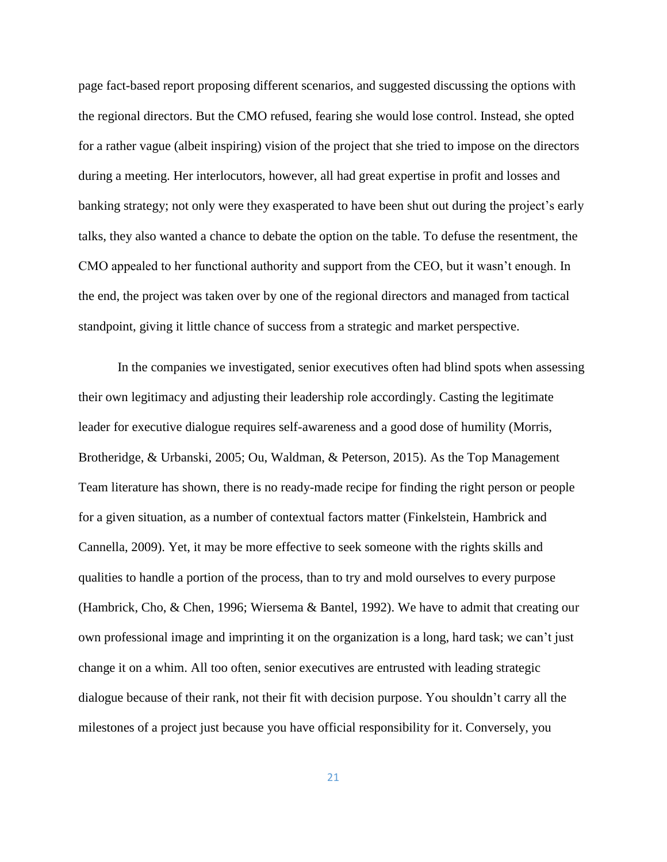page fact-based report proposing different scenarios, and suggested discussing the options with the regional directors. But the CMO refused, fearing she would lose control. Instead, she opted for a rather vague (albeit inspiring) vision of the project that she tried to impose on the directors during a meeting. Her interlocutors, however, all had great expertise in profit and losses and banking strategy; not only were they exasperated to have been shut out during the project's early talks, they also wanted a chance to debate the option on the table. To defuse the resentment, the CMO appealed to her functional authority and support from the CEO, but it wasn't enough. In the end, the project was taken over by one of the regional directors and managed from tactical standpoint, giving it little chance of success from a strategic and market perspective.

In the companies we investigated, senior executives often had blind spots when assessing their own legitimacy and adjusting their leadership role accordingly. Casting the legitimate leader for executive dialogue requires self-awareness and a good dose of humility (Morris, Brotheridge, & Urbanski, 2005; Ou, Waldman, & Peterson, 2015). As the Top Management Team literature has shown, there is no ready-made recipe for finding the right person or people for a given situation, as a number of contextual factors matter (Finkelstein, Hambrick and Cannella, 2009). Yet, it may be more effective to seek someone with the rights skills and qualities to handle a portion of the process, than to try and mold ourselves to every purpose (Hambrick, Cho, & Chen, 1996; Wiersema & Bantel, 1992). We have to admit that creating our own professional image and imprinting it on the organization is a long, hard task; we can't just change it on a whim. All too often, senior executives are entrusted with leading strategic dialogue because of their rank, not their fit with decision purpose. You shouldn't carry all the milestones of a project just because you have official responsibility for it. Conversely, you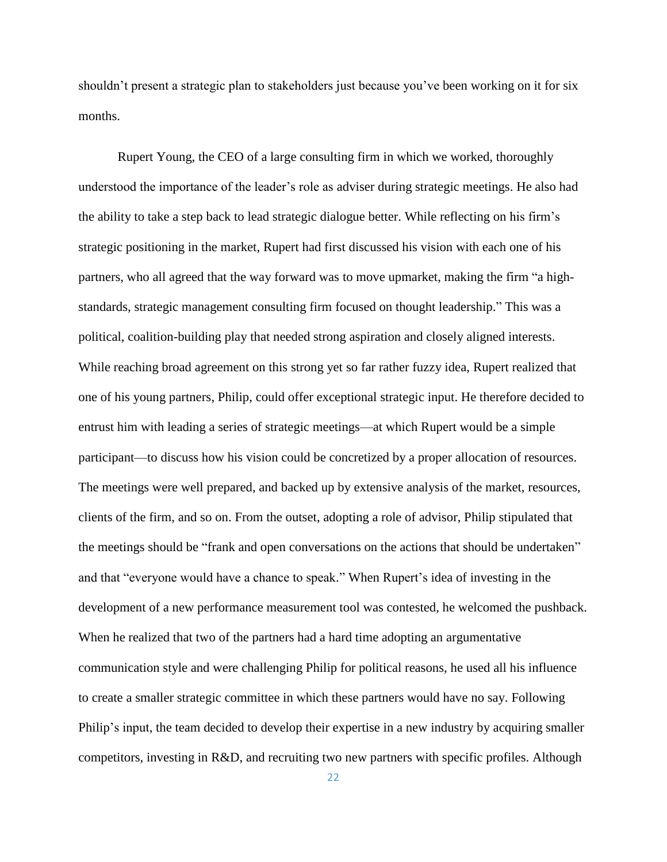shouldn't present a strategic plan to stakeholders just because you've been working on it for six months.

Rupert Young, the CEO of a large consulting firm in which we worked, thoroughly understood the importance of the leader's role as adviser during strategic meetings. He also had the ability to take a step back to lead strategic dialogue better. While reflecting on his firm's strategic positioning in the market, Rupert had first discussed his vision with each one of his partners, who all agreed that the way forward was to move upmarket, making the firm "a highstandards, strategic management consulting firm focused on thought leadership." This was a political, coalition-building play that needed strong aspiration and closely aligned interests. While reaching broad agreement on this strong yet so far rather fuzzy idea, Rupert realized that one of his young partners, Philip, could offer exceptional strategic input. He therefore decided to entrust him with leading a series of strategic meetings—at which Rupert would be a simple participant—to discuss how his vision could be concretized by a proper allocation of resources. The meetings were well prepared, and backed up by extensive analysis of the market, resources, clients of the firm, and so on. From the outset, adopting a role of advisor, Philip stipulated that the meetings should be "frank and open conversations on the actions that should be undertaken" and that "everyone would have a chance to speak." When Rupert's idea of investing in the development of a new performance measurement tool was contested, he welcomed the pushback. When he realized that two of the partners had a hard time adopting an argumentative communication style and were challenging Philip for political reasons, he used all his influence to create a smaller strategic committee in which these partners would have no say. Following Philip's input, the team decided to develop their expertise in a new industry by acquiring smaller competitors, investing in R&D, and recruiting two new partners with specific profiles. Although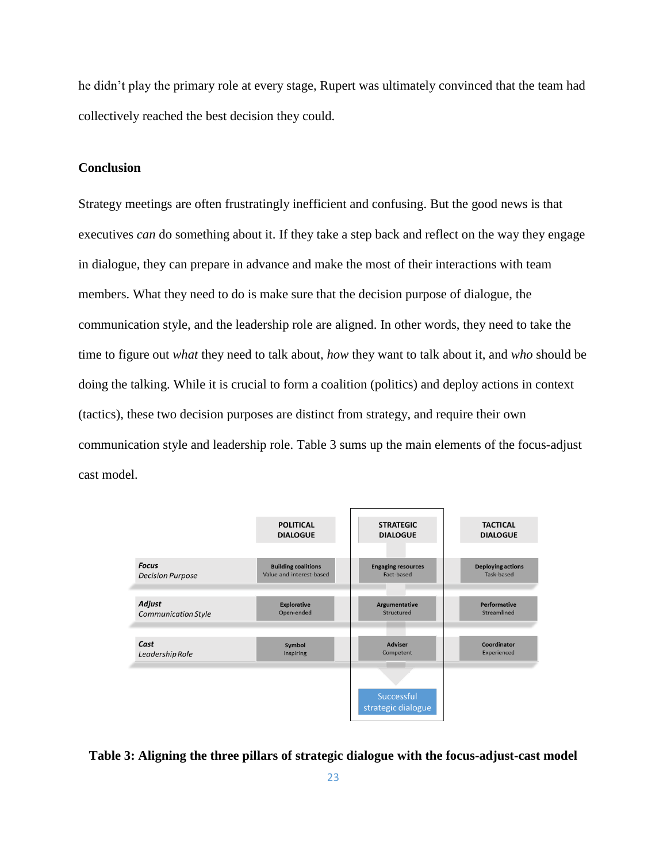he didn't play the primary role at every stage, Rupert was ultimately convinced that the team had collectively reached the best decision they could.

## **Conclusion**

Strategy meetings are often frustratingly inefficient and confusing. But the good news is that executives *can* do something about it. If they take a step back and reflect on the way they engage in dialogue, they can prepare in advance and make the most of their interactions with team members. What they need to do is make sure that the decision purpose of dialogue, the communication style, and the leadership role are aligned. In other words, they need to take the time to figure out *what* they need to talk about, *how* they want to talk about it, and *who* should be doing the talking. While it is crucial to form a coalition (politics) and deploy actions in context (tactics), these two decision purposes are distinct from strategy, and require their own communication style and leadership role. Table 3 sums up the main elements of the focus-adjust cast model.



**Table 3: Aligning the three pillars of strategic dialogue with the focus-adjust-cast model**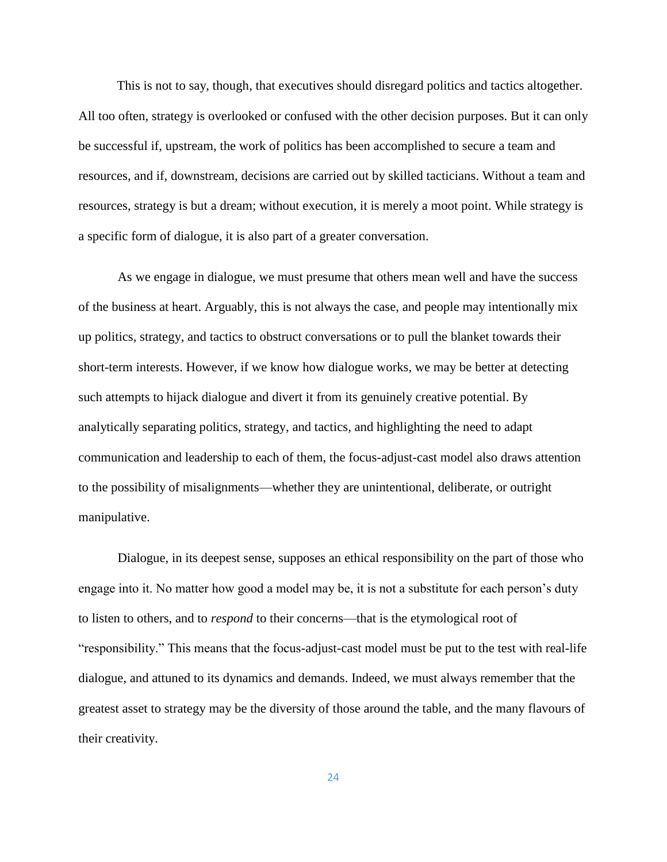This is not to say, though, that executives should disregard politics and tactics altogether. All too often, strategy is overlooked or confused with the other decision purposes. But it can only be successful if, upstream, the work of politics has been accomplished to secure a team and resources, and if, downstream, decisions are carried out by skilled tacticians. Without a team and resources, strategy is but a dream; without execution, it is merely a moot point. While strategy is a specific form of dialogue, it is also part of a greater conversation.

As we engage in dialogue, we must presume that others mean well and have the success of the business at heart. Arguably, this is not always the case, and people may intentionally mix up politics, strategy, and tactics to obstruct conversations or to pull the blanket towards their short-term interests. However, if we know how dialogue works, we may be better at detecting such attempts to hijack dialogue and divert it from its genuinely creative potential. By analytically separating politics, strategy, and tactics, and highlighting the need to adapt communication and leadership to each of them, the focus-adjust-cast model also draws attention to the possibility of misalignments—whether they are unintentional, deliberate, or outright manipulative.

Dialogue, in its deepest sense, supposes an ethical responsibility on the part of those who engage into it. No matter how good a model may be, it is not a substitute for each person's duty to listen to others, and to *respond* to their concerns—that is the etymological root of "responsibility." This means that the focus-adjust-cast model must be put to the test with real-life dialogue, and attuned to its dynamics and demands. Indeed, we must always remember that the greatest asset to strategy may be the diversity of those around the table, and the many flavours of their creativity.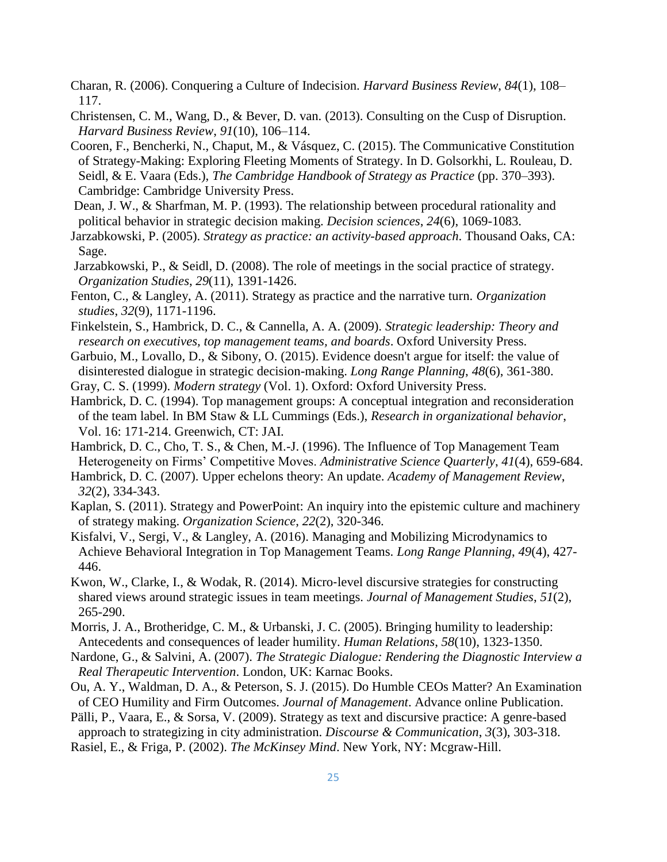- Charan, R. (2006). Conquering a Culture of Indecision. *Harvard Business Review*, *84*(1), 108– 117.
- Christensen, C. M., Wang, D., & Bever, D. van. (2013). Consulting on the Cusp of Disruption. *Harvard Business Review*, *91*(10), 106–114.
- Cooren, F., Bencherki, N., Chaput, M., & Vásquez, C. (2015). The Communicative Constitution of Strategy-Making: Exploring Fleeting Moments of Strategy. In D. Golsorkhi, L. Rouleau, D. Seidl, & E. Vaara (Eds.), *The Cambridge Handbook of Strategy as Practice* (pp. 370–393). Cambridge: Cambridge University Press.
- Dean, J. W., & Sharfman, M. P. (1993). The relationship between procedural rationality and political behavior in strategic decision making. *Decision sciences*, *24*(6), 1069-1083.
- Jarzabkowski, P. (2005). *Strategy as practice: an activity-based approach*. Thousand Oaks, CA: Sage.
- Jarzabkowski, P., & Seidl, D. (2008). The role of meetings in the social practice of strategy. *Organization Studies*, *29*(11), 1391-1426.
- Fenton, C., & Langley, A. (2011). Strategy as practice and the narrative turn. *Organization studies*, *32*(9), 1171-1196.
- Finkelstein, S., Hambrick, D. C., & Cannella, A. A. (2009). *Strategic leadership: Theory and research on executives, top management teams, and boards*. Oxford University Press.
- Garbuio, M., Lovallo, D., & Sibony, O. (2015). Evidence doesn't argue for itself: the value of disinterested dialogue in strategic decision-making. *Long Range Planning*, *48*(6), 361-380.
- Gray, C. S. (1999). *Modern strategy* (Vol. 1). Oxford: Oxford University Press.
- Hambrick, D. C. (1994). Top management groups: A conceptual integration and reconsideration of the team label. In BM Staw & LL Cummings (Eds.), *Research in organizational behavior*, Vol. 16: 171-214. Greenwich, CT: JAI.
- Hambrick, D. C., Cho, T. S., & Chen, M.-J. (1996). The Influence of Top Management Team Heterogeneity on Firms' Competitive Moves. *Administrative Science Quarterly*, *41*(4), 659-684.
- Hambrick, D. C. (2007). Upper echelons theory: An update. *Academy of Management Review*, *32*(2), 334-343.
- Kaplan, S. (2011). Strategy and PowerPoint: An inquiry into the epistemic culture and machinery of strategy making. *Organization Science*, *22*(2), 320-346.
- Kisfalvi, V., Sergi, V., & Langley, A. (2016). Managing and Mobilizing Microdynamics to Achieve Behavioral Integration in Top Management Teams. *Long Range Planning*, *49*(4), 427- 446.
- Kwon, W., Clarke, I., & Wodak, R. (2014). Micro-level discursive strategies for constructing shared views around strategic issues in team meetings. *Journal of Management Studies*, *51*(2), 265-290.
- Morris, J. A., Brotheridge, C. M., & Urbanski, J. C. (2005). Bringing humility to leadership: Antecedents and consequences of leader humility. *Human Relations*, *58*(10), 1323-1350.
- Nardone, G., & Salvini, A. (2007). *The Strategic Dialogue: Rendering the Diagnostic Interview a Real Therapeutic Intervention*. London, UK: Karnac Books.
- Ou, A. Y., Waldman, D. A., & Peterson, S. J. (2015). Do Humble CEOs Matter? An Examination of CEO Humility and Firm Outcomes. *Journal of Management*. Advance online Publication.
- Pälli, P., Vaara, E., & Sorsa, V. (2009). Strategy as text and discursive practice: A genre-based approach to strategizing in city administration. *Discourse & Communication*, *3*(3), 303-318.
- Rasiel, E., & Friga, P. (2002). *The McKinsey Mind*. New York, NY: Mcgraw-Hill.